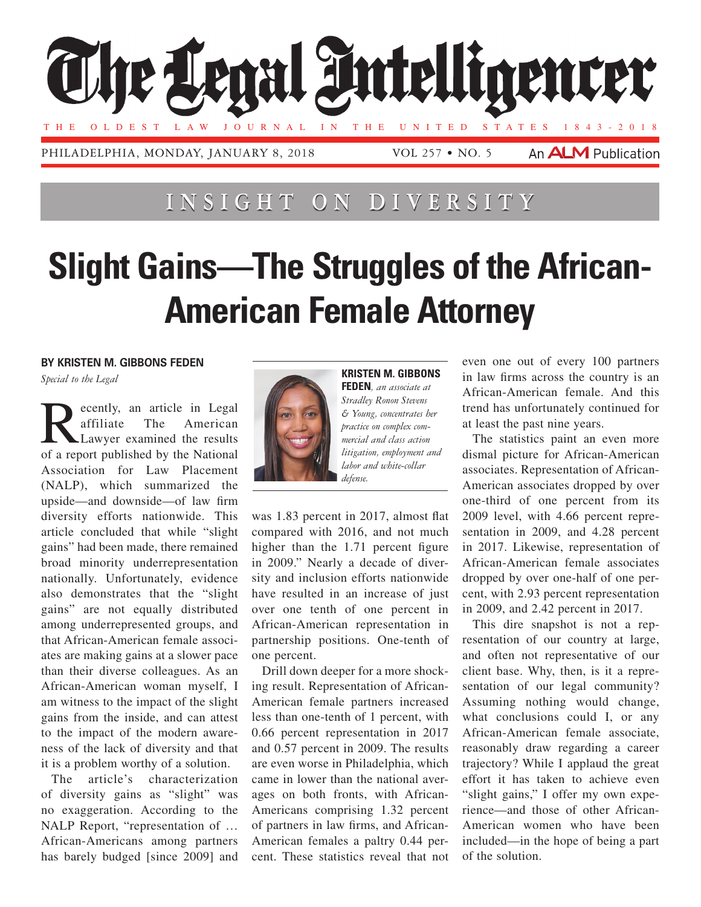

## **Ins i ght on D i vers i t y**

## **Slight Gains—The Struggles of the African-American Female Attorney**

**By Kristen M. Gibbons Feden**

*Special to the Legal*

ecently, an article in Legal<br>affiliate The American American Lawyer examined the results of a report published by the National Association for Law Placement (NALP), which summarized the upside—and downside—of law firm diversity efforts nationwide. This article concluded that while "slight gains" had been made, there remained broad minority underrepresentation nationally. Unfortunately, evidence also demonstrates that the "slight gains" are not equally distributed among underrepresented groups, and that African-American female associates are making gains at a slower pace than their diverse colleagues. As an African-American woman myself, I am witness to the impact of the slight gains from the inside, and can attest to the impact of the modern awareness of the lack of diversity and that it is a problem worthy of a solution.

The article's characterization of diversity gains as "slight" was no exaggeration. According to the NALP Report, "representation of … African-Americans among partners has barely budged [since 2009] and



**Kristen M. Gibbons Feden***, an associate at Stradley Ronon Stevens & Young, concentrates her practice on complex commercial and class action litigation, employment and labor and white-collar defense.*

was 1.83 percent in 2017, almost flat compared with 2016, and not much higher than the 1.71 percent figure in 2009." Nearly a decade of diversity and inclusion efforts nationwide have resulted in an increase of just over one tenth of one percent in African-American representation in partnership positions. One-tenth of one percent.

Drill down deeper for a more shocking result. Representation of African-American female partners increased less than one-tenth of 1 percent, with 0.66 percent representation in 2017 and 0.57 percent in 2009. The results are even worse in Philadelphia, which came in lower than the national averages on both fronts, with African-Americans comprising 1.32 percent of partners in law firms, and African-American females a paltry 0.44 percent. These statistics reveal that not even one out of every 100 partners in law firms across the country is an African-American female. And this trend has unfortunately continued for at least the past nine years.

The statistics paint an even more dismal picture for African-American associates. Representation of African-American associates dropped by over one-third of one percent from its 2009 level, with 4.66 percent representation in 2009, and 4.28 percent in 2017. Likewise, representation of African-American female associates dropped by over one-half of one percent, with 2.93 percent representation in 2009, and 2.42 percent in 2017.

This dire snapshot is not a representation of our country at large, and often not representative of our client base. Why, then, is it a representation of our legal community? Assuming nothing would change, what conclusions could I, or any African-American female associate, reasonably draw regarding a career trajectory? While I applaud the great effort it has taken to achieve even "slight gains," I offer my own experience—and those of other African-American women who have been included—in the hope of being a part of the solution.